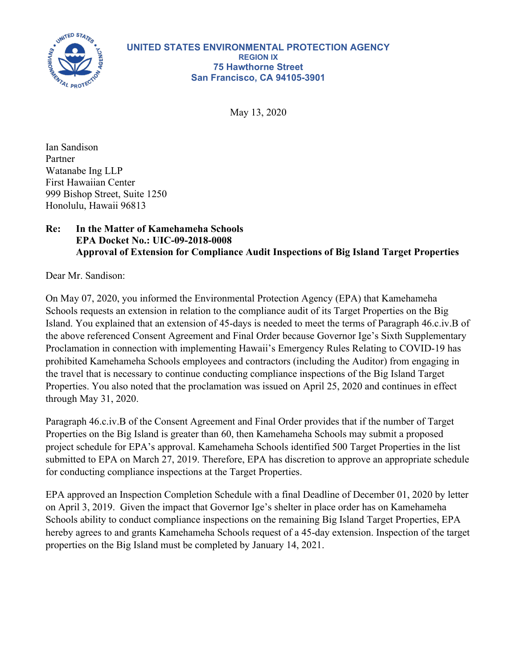

May 13, 2020

Ian Sandison Partner Watanabe Ing LLP First Hawaiian Center 999 Bishop Street, Suite 1250 Honolulu, Hawaii 96813

## **Re: In the Matter of Kamehameha Schools EPA Docket No.: UIC-09-2018-0008 Approval of Extension for Compliance Audit Inspections of Big Island Target Properties**

Dear Mr. Sandison:

On May 07, 2020, you informed the Environmental Protection Agency (EPA) that Kamehameha Schools requests an extension in relation to the compliance audit of its Target Properties on the Big Island. You explained that an extension of 45-days is needed to meet the terms of Paragraph 46.c.iv.B of the above referenced Consent Agreement and Final Order because Governor Ige's Sixth Supplementary Proclamation in connection with implementing Hawaii's Emergency Rules Relating to COVID-19 has prohibited Kamehameha Schools employees and contractors (including the Auditor) from engaging in the travel that is necessary to continue conducting compliance inspections of the Big Island Target Properties. You also noted that the proclamation was issued on April 25, 2020 and continues in effect through May 31, 2020.

Paragraph 46.c.iv.B of the Consent Agreement and Final Order provides that if the number of Target Properties on the Big Island is greater than 60, then Kamehameha Schools may submit a proposed project schedule for EPA's approval. Kamehameha Schools identified 500 Target Properties in the list submitted to EPA on March 27, 2019. Therefore, EPA has discretion to approve an appropriate schedule for conducting compliance inspections at the Target Properties.

EPA approved an Inspection Completion Schedule with a final Deadline of December 01, 2020 by letter on April 3, 2019. Given the impact that Governor Ige's shelter in place order has on Kamehameha Schools ability to conduct compliance inspections on the remaining Big Island Target Properties, EPA hereby agrees to and grants Kamehameha Schools request of a 45-day extension. Inspection of the target properties on the Big Island must be completed by January 14, 2021.